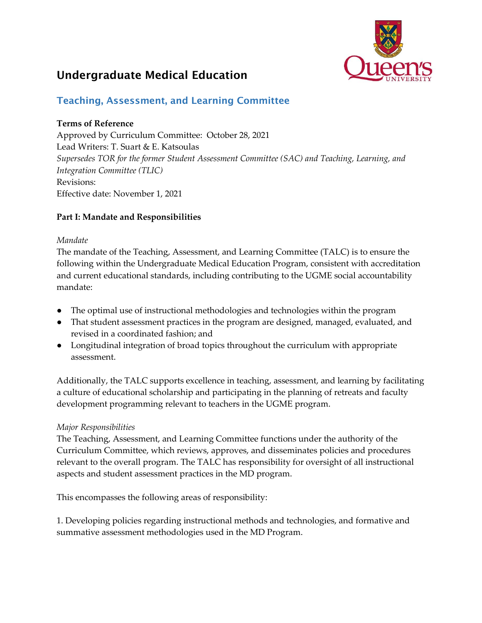

# Undergraduate Medical Education

## Teaching, Assessment, and Learning Committee

## **Terms of Reference**

Approved by Curriculum Committee: October 28, 2021 Lead Writers: T. Suart & E. Katsoulas *Supersedes TOR for the former Student Assessment Committee (SAC) and Teaching, Learning, and Integration Committee (TLIC)*  Revisions: Effective date: November 1, 2021

## **Part I: Mandate and Responsibilities**

#### *Mandate*

The mandate of the Teaching, Assessment, and Learning Committee (TALC) is to ensure the following within the Undergraduate Medical Education Program, consistent with accreditation and current educational standards, including contributing to the UGME social accountability mandate:

- The optimal use of instructional methodologies and technologies within the program
- That student assessment practices in the program are designed, managed, evaluated, and revised in a coordinated fashion; and
- Longitudinal integration of broad topics throughout the curriculum with appropriate assessment.

Additionally, the TALC supports excellence in teaching, assessment, and learning by facilitating a culture of educational scholarship and participating in the planning of retreats and faculty development programming relevant to teachers in the UGME program.

## *Major Responsibilities*

The Teaching, Assessment, and Learning Committee functions under the authority of the Curriculum Committee, which reviews, approves, and disseminates policies and procedures relevant to the overall program. The TALC has responsibility for oversight of all instructional aspects and student assessment practices in the MD program.

This encompasses the following areas of responsibility:

1. Developing policies regarding instructional methods and technologies, and formative and summative assessment methodologies used in the MD Program.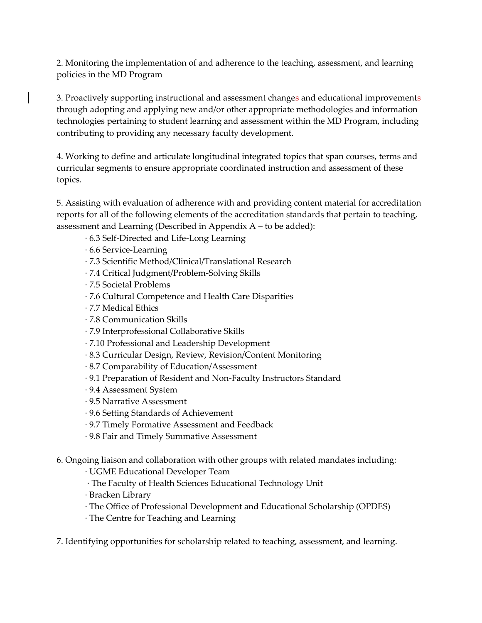2. Monitoring the implementation of and adherence to the teaching, assessment, and learning policies in the MD Program

3. Proactively supporting instructional and assessment changes and educational improvements through adopting and applying new and/or other appropriate methodologies and information technologies pertaining to student learning and assessment within the MD Program, including contributing to providing any necessary faculty development.

4. Working to define and articulate longitudinal integrated topics that span courses, terms and curricular segments to ensure appropriate coordinated instruction and assessment of these topics.

5. Assisting with evaluation of adherence with and providing content material for accreditation reports for all of the following elements of the accreditation standards that pertain to teaching, assessment and Learning (Described in Appendix A – to be added):

- ∙ 6.3 Self-Directed and Life-Long Learning
- ∙ 6.6 Service-Learning
- ∙ 7.3 Scientific Method/Clinical/Translational Research
- ∙ 7.4 Critical Judgment/Problem-Solving Skills
- ∙ 7.5 Societal Problems
- ∙ 7.6 Cultural Competence and Health Care Disparities
- ∙ 7.7 Medical Ethics
- ∙ 7.8 Communication Skills
- ∙ 7.9 Interprofessional Collaborative Skills
- ∙ 7.10 Professional and Leadership Development
- ∙ 8.3 Curricular Design, Review, Revision/Content Monitoring
- ∙ 8.7 Comparability of Education/Assessment
- ∙ 9.1 Preparation of Resident and Non-Faculty Instructors Standard
- ∙ 9.4 Assessment System
- ∙ 9.5 Narrative Assessment
- ∙ 9.6 Setting Standards of Achievement
- ∙ 9.7 Timely Formative Assessment and Feedback
- ∙ 9.8 Fair and Timely Summative Assessment

6. Ongoing liaison and collaboration with other groups with related mandates including:

∙ UGME Educational Developer Team

- ∙ The Faculty of Health Sciences Educational Technology Unit
- ∙ Bracken Library
- ∙ The Office of Professional Development and Educational Scholarship (OPDES)
- ∙ The Centre for Teaching and Learning

7. Identifying opportunities for scholarship related to teaching, assessment, and learning.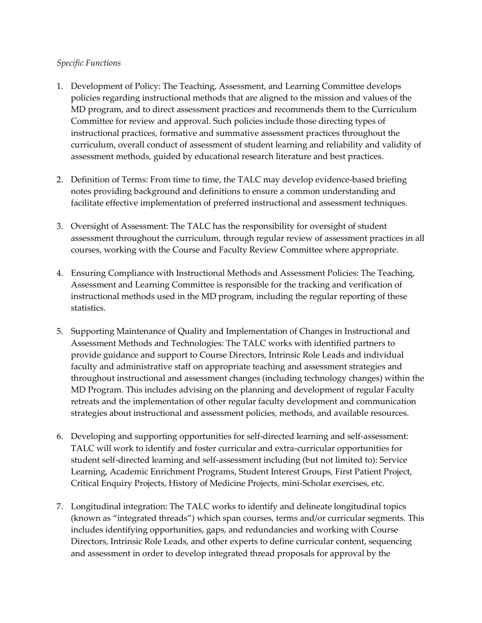#### *Specific Functions*

- 1. Development of Policy: The Teaching, Assessment, and Learning Committee develops policies regarding instructional methods that are aligned to the mission and values of the MD program, and to direct assessment practices and recommends them to the Curriculum Committee for review and approval. Such policies include those directing types of instructional practices, formative and summative assessment practices throughout the curriculum, overall conduct of assessment of student learning and reliability and validity of assessment methods, guided by educational research literature and best practices.
- 2. Definition of Terms: From time to time, the TALC may develop evidence-based briefing notes providing background and definitions to ensure a common understanding and facilitate effective implementation of preferred instructional and assessment techniques.
- 3. Oversight of Assessment: The TALC has the responsibility for oversight of student assessment throughout the curriculum, through regular review of assessment practices in all courses, working with the Course and Faculty Review Committee where appropriate.
- 4. Ensuring Compliance with Instructional Methods and Assessment Policies: The Teaching, Assessment and Learning Committee is responsible for the tracking and verification of instructional methods used in the MD program, including the regular reporting of these statistics.
- 5. Supporting Maintenance of Quality and Implementation of Changes in Instructional and Assessment Methods and Technologies: The TALC works with identified partners to provide guidance and support to Course Directors, Intrinsic Role Leads and individual faculty and administrative staff on appropriate teaching and assessment strategies and throughout instructional and assessment changes (including technology changes) within the MD Program. This includes advising on the planning and development of regular Faculty retreats and the implementation of other regular faculty development and communication strategies about instructional and assessment policies, methods, and available resources.
- 6. Developing and supporting opportunities for self-directed learning and self-assessment: TALC will work to identify and foster curricular and extra-curricular opportunities for student self-directed learning and self-assessment including (but not limited to): Service Learning, Academic Enrichment Programs, Student Interest Groups, First Patient Project, Critical Enquiry Projects, History of Medicine Projects, mini-Scholar exercises, etc.
- 7. Longitudinal integration: The TALC works to identify and delineate longitudinal topics (known as "integrated threads") which span courses, terms and/or curricular segments. This includes identifying opportunities, gaps, and redundancies and working with Course Directors, Intrinsic Role Leads, and other experts to define curricular content, sequencing and assessment in order to develop integrated thread proposals for approval by the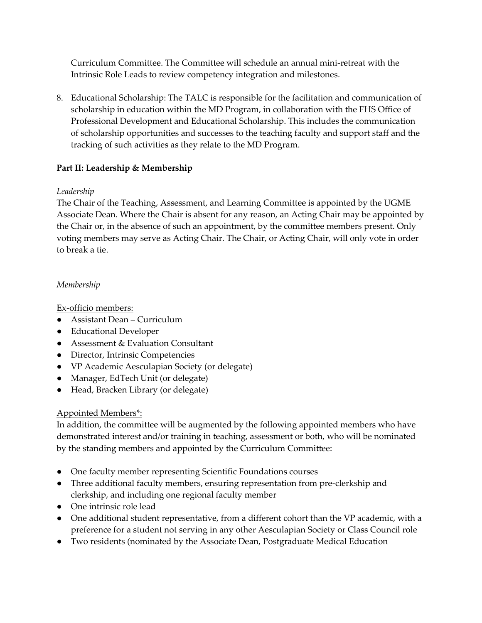Curriculum Committee. The Committee will schedule an annual mini-retreat with the Intrinsic Role Leads to review competency integration and milestones.

8. Educational Scholarship: The TALC is responsible for the facilitation and communication of scholarship in education within the MD Program, in collaboration with the FHS Office of Professional Development and Educational Scholarship. This includes the communication of scholarship opportunities and successes to the teaching faculty and support staff and the tracking of such activities as they relate to the MD Program.

## **Part II: Leadership & Membership**

#### *Leadership*

The Chair of the Teaching, Assessment, and Learning Committee is appointed by the UGME Associate Dean. Where the Chair is absent for any reason, an Acting Chair may be appointed by the Chair or, in the absence of such an appointment, by the committee members present. Only voting members may serve as Acting Chair. The Chair, or Acting Chair, will only vote in order to break a tie.

#### *Membership*

Ex-officio members:

- Assistant Dean Curriculum
- Educational Developer
- Assessment & Evaluation Consultant
- Director, Intrinsic Competencies
- VP Academic Aesculapian Society (or delegate)
- Manager, EdTech Unit (or delegate)
- Head, Bracken Library (or delegate)

## Appointed Members\*:

In addition, the committee will be augmented by the following appointed members who have demonstrated interest and/or training in teaching, assessment or both, who will be nominated by the standing members and appointed by the Curriculum Committee:

- One faculty member representing Scientific Foundations courses
- Three additional faculty members, ensuring representation from pre-clerkship and clerkship, and including one regional faculty member
- One intrinsic role lead
- One additional student representative, from a different cohort than the VP academic, with a preference for a student not serving in any other Aesculapian Society or Class Council role
- Two residents (nominated by the Associate Dean, Postgraduate Medical Education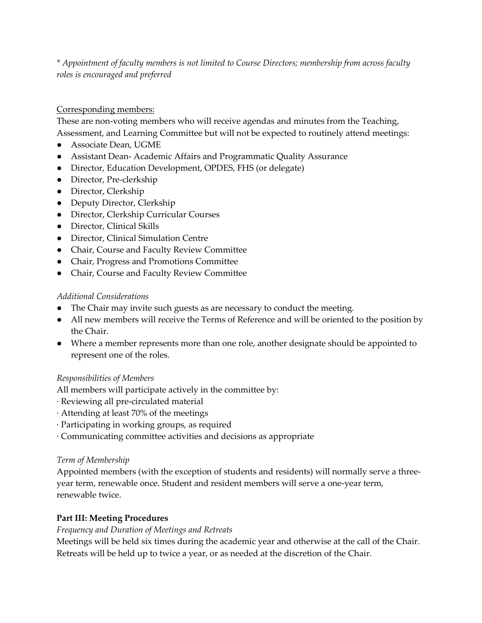*\* Appointment of faculty members is not limited to Course Directors; membership from across faculty roles is encouraged and preferred*

## Corresponding members:

These are non-voting members who will receive agendas and minutes from the Teaching, Assessment, and Learning Committee but will not be expected to routinely attend meetings:

- Associate Dean, UGME
- Assistant Dean- Academic Affairs and Programmatic Quality Assurance
- Director, Education Development, OPDES, FHS (or delegate)
- Director, Pre-clerkship
- Director, Clerkship
- Deputy Director, Clerkship
- Director, Clerkship Curricular Courses
- Director, Clinical Skills
- Director, Clinical Simulation Centre
- Chair, Course and Faculty Review Committee
- Chair, Progress and Promotions Committee
- Chair, Course and Faculty Review Committee

## *Additional Considerations*

- The Chair may invite such guests as are necessary to conduct the meeting.
- All new members will receive the Terms of Reference and will be oriented to the position by the Chair.
- Where a member represents more than one role, another designate should be appointed to represent one of the roles.

## *Responsibilities of Members*

All members will participate actively in the committee by:

- ∙ Reviewing all pre-circulated material
- ∙ Attending at least 70% of the meetings
- ∙ Participating in working groups, as required
- ∙ Communicating committee activities and decisions as appropriate

## *Term of Membership*

Appointed members (with the exception of students and residents) will normally serve a threeyear term, renewable once. Student and resident members will serve a one-year term, renewable twice.

## **Part III: Meeting Procedures**

## *Frequency and Duration of Meetings and Retreats*

Meetings will be held six times during the academic year and otherwise at the call of the Chair. Retreats will be held up to twice a year, or as needed at the discretion of the Chair.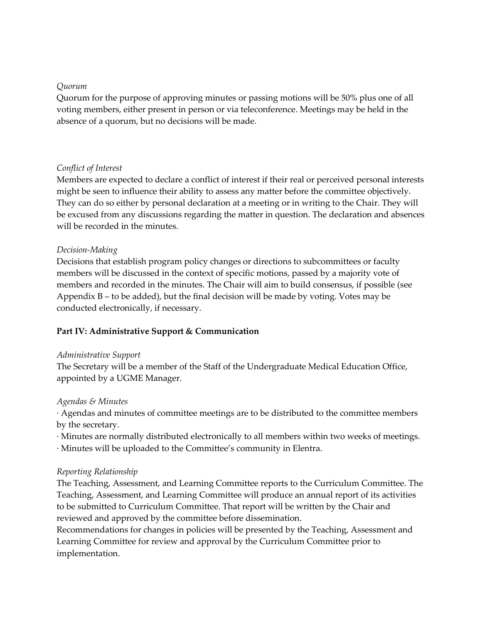#### *Quorum*

Quorum for the purpose of approving minutes or passing motions will be 50% plus one of all voting members, either present in person or via teleconference. Meetings may be held in the absence of a quorum, but no decisions will be made.

#### *Conflict of Interest*

Members are expected to declare a conflict of interest if their real or perceived personal interests might be seen to influence their ability to assess any matter before the committee objectively. They can do so either by personal declaration at a meeting or in writing to the Chair. They will be excused from any discussions regarding the matter in question. The declaration and absences will be recorded in the minutes.

#### *Decision-Making*

Decisions that establish program policy changes or directions to subcommittees or faculty members will be discussed in the context of specific motions, passed by a majority vote of members and recorded in the minutes. The Chair will aim to build consensus, if possible (see Appendix  $B - t_0$  be added), but the final decision will be made by voting. Votes may be conducted electronically, if necessary.

#### **Part IV: Administrative Support & Communication**

#### *Administrative Support*

The Secretary will be a member of the Staff of the Undergraduate Medical Education Office, appointed by a UGME Manager.

#### *Agendas & Minutes*

∙ Agendas and minutes of committee meetings are to be distributed to the committee members by the secretary.

∙ Minutes are normally distributed electronically to all members within two weeks of meetings.

∙ Minutes will be uploaded to the Committee's community in Elentra.

#### *Reporting Relationship*

The Teaching, Assessment, and Learning Committee reports to the Curriculum Committee. The Teaching, Assessment, and Learning Committee will produce an annual report of its activities to be submitted to Curriculum Committee. That report will be written by the Chair and reviewed and approved by the committee before dissemination.

Recommendations for changes in policies will be presented by the Teaching, Assessment and Learning Committee for review and approval by the Curriculum Committee prior to implementation.